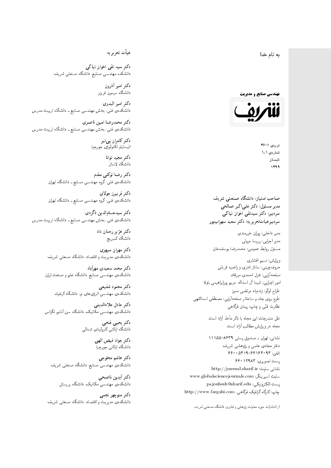4 نام خدا  $\overline{\phantom{a}}$ ز<br>ن .<br>.

**مهندسی صنایع و مدیریت** 



 $36 - 1$  (exp.) شمارەي ١٫١ تابستان 1399

صاحب امتیاز: دانشگاه صنعتی شریف  $\mathfrak{c}$ مدیر مسئول: دکتر علیاکبر صالحی  $\mathfrak{c}$ سردبیرهیاتتحریر یه : دکتر سعید سهرابپور سردبیر: دکتر سیدتقی اخوان نیاکی

مدير داخلي: پوران خيرمندي<br>ا مدير اجرايي: پريسا مروتي<br>. مسئول روابط عمومى: محمدرضا يوسفخان<br>.

ویرایش: نسیم افشاری<br>نهایت طراح لوگو: زندهیاد مرتضمی ممیز<br>ا طرح روی جلد و ساختار صفحهآرایی: مصطفی اسداللهی<br>مطلب منتقل نظارت فٽ<sub>ی</sub> و چاپ: پيمان فرگاه<sub>ی</sub><br>.

نقل مندرجات این مجله با ذکر مأخذ آزاد است.<br>مجله در ویرایش مطالب آزاد است.

نشانی: تهران / صندوق پستی ۸۶۳۹-۱۱۱۵۵ دفتر مجلهى علمى و پژوهشى شريف 560001047 - 66196 - 669 پست تصویری: ۱۲۹۸۳ ۶۶۰ نشانی سایت: http://journal.sharif.ir<br>. سايت اسپرينگر: www.globalsciencejournals.com<br>دادم و د ک پست الکترونیکی: pajouhesh@sharif.edu<br>چاپ: کارگاه گرافیک فرگاهی، http://www.fargahi.com حروف چینی: ساناز نادری و راضیه قربانی<br>صفحهآرایی: غزل احمدی میرقاند<br>طواح لوگو: زندهیاد مرتضی ممیز<br>طواح لوگو: زندهیاد مرتضی ممیز<br>نظارت فنّی و چاپ: پیمان فرگاهی<br>متعلمه در ویوایش مطالب آزاد است.<br>متعلمه در ویوایش مطالب آزاد اس

از انتشارات حوزه معاونت پژوهش و فناوری دانشگاه صنعتی شریف<br>.

## هيأت تحريريه

دکتر سید تقی اخوان نیاکی دانشکده مهندسی صنایع<sub>ٌ</sub> دانشگاه صنعت<sub>ی</sub> شریف<br>.

> دكتر امير أذرون دانشگاه سیمون فریز<u>ر</u><br>.

دكتر امير البدوى دانشکدهی فنی، بخش مهندسی صنایع ــ دانشگاه تربیت مدرس<br>.

دکتر محمدرضا امین ناصری  $\overline{a}$ دانشکدهی فنی، بخش مهندسی صنایع ــ دانشگاه تربیت مدرس<br>.

> دکتر کامران پی نبر<br>.  $\mathfrak{c}$ انيستيتو تكنولوژى جورجيا<br>.

دکتر مجيد توانا<br>دانشگاه لاسال

دكتر رضا توكلي مقدم دانشکدهی فنی، گروه مهندس<sub>می</sub> صنایع ــ دانشگاه تهران<br>.

د*ك*تر فريبرز جولا*ي* دانشکدهی فنی، گروه مهندس<sub>می</sub> صنایع ــ دانشگاه تهران<br>.

دكتر سيدحسام|لدين ذگردى دانشکدهی فنی، بخش مهندسی صنایع ــ دانشگاه تربیت مدرس<br>.

> دکتر هژیر رحمان داد دانشگاه كمبريج<br>.

دكتر مهران سپهري دانشکدهی مدیریت و اقتصاد، دانشگاه صنعتی شریف<br>.

دکتر محمد سعیدی مهرآباد دانشکدهی مهندسی صنایع، دانشگاه علم و صنعت ایران<br>.

دكتر محمود شفيعي دانشکدهی مهندسی انرژیهای نو. دانشگاه کرنفیلد<br>.

دكتر عادل علاءالدينى  $\mathfrak{c}$ دانشکدهی مهندسی مکانیک، دانشگاه سن آنتنیو تگزاس<br>.

> دكتر يحيى فتحى دانشگاه ایالتی کارولینای شمالی

> > دكتر جواد فيض الهي دانشگاه ایالتی جورجیا<br>.

دکتر هاشم محلوجی  $\mathfrak{c}$ دانشکدهی مهندسی صنایع، دانشگاه صنعتی شریف<br>.

> دكتر أيدين ناصحى دانشکدهی مهندس<sub>ی</sub> مکانیک، دانشگاه بریستل<br>.

دكتر منوجهر نجمي دانشکدهی مدیریت و اقتصاد، دانشگاه صنعتی شریف<br>.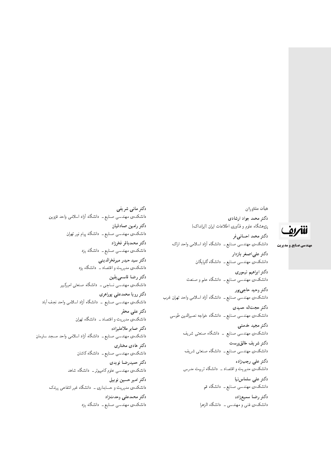# للمريق

**مهندسی صنایع و مدیریت** 

دكتر مانى شريفى دانشکدهی مهندسی صنایع ــ دانشگاه آزاد اسلامی واحد قزوین دكتر رامين صادقيان دانشکدهی مهندسی صنایع ــ دانشگاه پیام نور تهران دكتر محمدباقر فخرزاد دانشکدهی مهندسی صنایع ــ دانشگاه یزد دكتر سيد حيدر ميرفخرالديني دانشکدهی مدیریت و اقتصاد ــ دانشگاه یزد دكتر رضا قاسمه يقين دانشکدهی مهندسی نساجی ــ دانشگاه صنعتی امیرکبیر دكتر رويا محمدعلى پوراهرى دانشکدهی مهندسی صنایع ــ دانشگاه آزاد اسلامی واحد نجف آباد دكتر على محقر دانشکدهی مدیریت و اقتصاد ــ دانشگاه تهران دكتر صابر ملاعليزاده دانشکده یمهندسی صنایع ــ دانشگاه آزاد اسلامی واحد مسجد سلیمان دكتر هادى مختارى دانشکدهی مهندسی صنایع ــ دانشگاه کاشان دكتر حميدرضا نويدي دانشکدهی مهندسی علوم کامپیوتر ــ دانشگاه شاهد دكتر امير حسين نوبيل دانشکدهی مدیریت و حسابداری ــ دانشگاه غیر انتفاعی یرندک دكتر محمدعلى وحدتزاد

دانشکدهی مهندسی صنایع ــ دانشگاه یزد

دكتر محمد احساني فر دانشکدهی مهندسی صنایع ــ دانشگاه آزاد اسلامی واحد اراک دكتر علىاصغر بازدار دانشکدهی مهندسی صنایع ــ دانشگاه گلپایگان دكتر ابراهيم تيموري دانشکدهی مهندسی صنایع ــ دانشگاه علم و صنعت

پژوهشگاه علوم و فنّاوری اطلاعات ایران (ایرانداک)

هيأت مشاوران

دكتر محمد جواد ارشادى

دکتر وحید حاجي پور دانشکدهی مهندسی صنایع ــ دانشگاه آزاد اسلامی واحد تهران غرب دكتر حجت|له حميدى دانشکدهی مهندسی صنایع ــ دانشگاه خواجه نصیرالدین طوسی

> دکتر مجید خدمتے دانشکدهی مهندسی صنایع <mark>ـ</mark>ـ دانشگاه صنعتی شریف

دكتر شريف خالق پرست دانشکدهی مهندسی صنایع ــ دانشگاه صنعتبی شریف دكتر على رجب;اده

دانشکدهی مدیریت و اقتصاد ــ دانشگاه تربیت مدرس

دكتر على سلماس نيا دانشکدهی مهندسی صنایع ـــ دانشگاه قم

دكتر رضا سميعزاده دانشکدهی فنی و مهندسی ـــ دانشگاه الزهرا